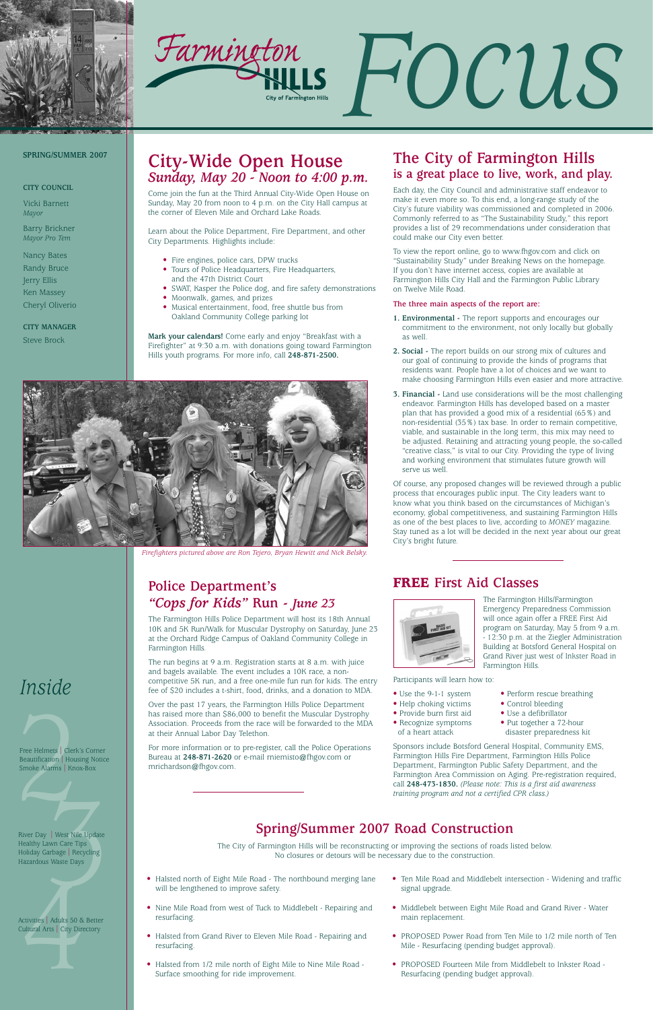



# *Inside*

Free Helmets | Clerk'<br>Beautification | Housi<br>Smoke Alarms | Knox Free Helmets | Clerk's Corner Beautification | Housing Notice Smoke Alarms | Knox-Box

## **City-Wide Open House** *Sunday, May 20 - Noon to 4:00 p.m.*

Come join the fun at the Third Annual City-Wide Open House on Sunday, May 20 from noon to 4 p.m. on the City Hall campus at the corner of Eleven Mile and Orchard Lake Roads.

Learn about the Police Department, Fire Department, and other City Departments. Highlights include:

- Fire engines, police cars, DPW trucks
- Tours of Police Headquarters, Fire Headquarters, and the 47th District Court
- SWAT, Kasper the Police dog, and fire safety demonstrations
- Moonwalk, games, and prizes
- Musical entertainment, food, free shuttle bus from Oakland Community College parking lot

**Mark your calendars!** Come early and enjoy "Breakfast with a Firefighter" at 9:30 a.m. with donations going toward Farmington Hills youth programs. For more info, call **248-871-2500.**

#### **SPRING/SUMMER 2007**

#### **CITY COUNCIL**

Vicki Barnett *Mayor*

Barry Brickner *Mayor Pro Tem*

Nancy Bates Randy Bruce Jerry Ellis Ken Massey Cheryl Oliverio

**CITY MANAGER** Steve Brock

## **Spring/Summer 2007 Road Construction**

The City of Farmington Hills will be reconstructing or improving the sections of roads listed below. No closures or detours will be necessary due to the construction.

- Halsted north of Eight Mile Road The northbound merging lane will be lengthened to improve safety.
- Nine Mile Road from west of Tuck to Middlebelt Repairing and resurfacing.
- Halsted from Grand River to Eleven Mile Road Repairing and resurfacing.
- Halsted from 1/2 mile north of Eight Mile to Nine Mile Road Surface smoothing for ride improvement.
- Ten Mile Road and Middlebelt intersection Widening and traffic signal upgrade.
- Middlebelt between Eight Mile Road and Grand River Water main replacement.
- PROPOSED Power Road from Ten Mile to 1/2 mile north of Ten Mile - Resurfacing (pending budget approval).
- PROPOSED Fourteen Mile from Middlebelt to Inkster Road Resurfacing (pending budget approval).

## **Police Department's**  *"Cops for Kids"* **Run -** *June 23*

The Farmington Hills Police Department will host its 18th Annual 10K and 5K Run/Walk for Muscular Dystrophy on Saturday, June 23 at the Orchard Ridge Campus of Oakland Community College in Farmington Hills.

The run begins at 9 a.m. Registration starts at 8 a.m. with juice and bagels available. The event includes a 10K race, a noncompetitive 5K run, and a free one-mile fun run for kids. The entry fee of \$20 includes a t-shirt, food, drinks, and a donation to MDA.

Version Care Tips<br>1999 - Maria Care Tips<br>1999 - Maria Care Days<br>1999 - Maria Care Days<br>1999 - Maria Care Days River Day | West Nile Update Healthy Lawn Care Tips Holiday Garbage | Recycling Hazardous Waste Days

Activities | Adults 50 &<br>Cultural Arts | City Dire Activities | Adults 50 & Better Cultural Arts | City Directory

Over the past 17 years, the Farmington Hills Police Department has raised more than \$86,000 to benefit the Muscular Dystrophy Association. Proceeds from the race will be forwarded to the MDA at their Annual Labor Day Telethon.

For more information or to pre-register, call the Police Operations Bureau at **248-871-2620** or e-mail rniemisto@fhgov.com or mrichardson@fhgov.com.

- $\bullet$  Provide burn first aid
- Recognize symptoms Put together a 72-hour
	-
- Use the 9-1-1 system Perform rescue breathing<br>• Help choking victims Control bleeding • Help choking victims • Control bleeding<br>• Provide burn first aid • Use a defibrillator
	-
- of a heart attack disaster preparedness kit

## **The City of Farmington Hills is a great place to live, work, and play.**

Each day, the City Council and administrative staff endeavor to make it even more so. To this end, a long-range study of the City's future viability was commissioned and completed in 2006. Commonly referred to as "The Sustainability Study," this report provides a list of 29 recommendations under consideration that could make our City even better.

To view the report online, go to www.fhgov.com and click on "Sustainability Study" under Breaking News on the homepage. If you don't have internet access, copies are available at Farmington Hills City Hall and the Farmington Public Library on Twelve Mile Road.

#### **The three main aspects of the report are:**

- **1. Environmental** The report supports and encourages our commitment to the environment, not only locally but globally as well.
- **2. Social** The report builds on our strong mix of cultures and our goal of continuing to provide the kinds of programs that residents want. People have a lot of choices and we want to make choosing Farmington Hills even easier and more attractive.
- **3. Financial -** Land use considerations will be the most challenging endeavor. Farmington Hills has developed based on a master plan that has provided a good mix of a residential (65%) and non-residential (35%) tax base. In order to remain competitive, viable, and sustainable in the long term, this mix may need to be adjusted. Retaining and attracting young people, the so-called "creative class," is vital to our City. Providing the type of living and working environment that stimulates future growth will serve us well.

Of course, any proposed changes will be reviewed through a public process that encourages public input. The City leaders want to know what you think based on the circumstances of Michigan's economy, global competitiveness, and sustaining Farmington Hills as one of the best places to live, according to *MONEY* magazine. Stay tuned as a lot will be decided in the next year about our great City's bright future.



*Firefighters pictured above are Ron Tejero, Bryan Hewitt and Nick Belsky.*

## **FREE First Aid Classes**



The Farmington Hills/Farmington Emergency Preparedness Commission will once again offer a FREE First Aid program on Saturday, May 5 from 9 a.m. - 12:30 p.m. at the Ziegler Administration Building at Botsford General Hospital on Grand River just west of Inkster Road in Farmington Hills.

Participants will learn how to:

Sponsors include Botsford General Hospital, Community EMS, Farmington Hills Fire Department, Farmington Hills Police Department, Farmington Public Safety Department, and the Farmington Area Commission on Aging. Pre-registration required, call **248-473-1830.** *(Please note: This is a first aid awareness training program and not a certified CPR class.)*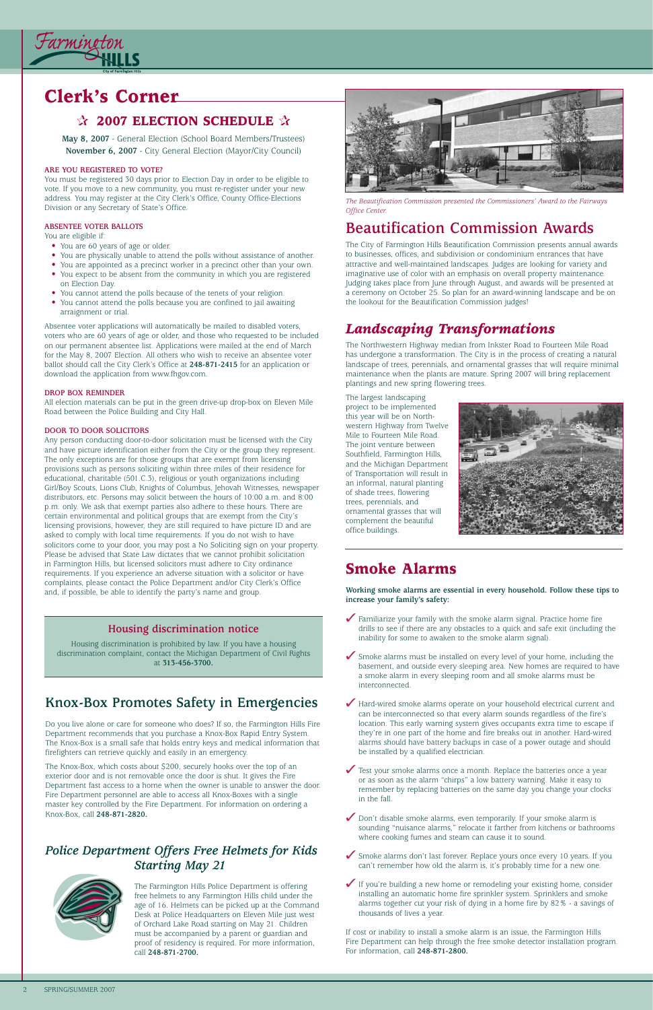

# **Clerk's Corner**

### ✰ **2007 ELECTION SCHEDULE** ✰

**May 8, 2007** - General Election (School Board Members/Trustees) **November 6, 2007** - City General Election (Mayor/City Council)

#### **ARE YOU REGISTERED TO VOTE?**

You must be registered 30 days prior to Election Day in order to be eligible to vote. If you move to a new community, you must re-register under your new address. You may register at the City Clerk's Office, County Office-Elections Division or any Secretary of State's Office.

#### **ABSENTEE VOTER BALLOTS**

You are eligible if:

- You are 60 years of age or older.
- You are physically unable to attend the polls without assistance of another.
- You are appointed as a precinct worker in a precinct other than your own.
- You expect to be absent from the community in which you are registered on Election Day.
- You cannot attend the polls because of the tenets of your religion.
- You cannot attend the polls because you are confined to jail awaiting arraignment or trial.

Absentee voter applications will automatically be mailed to disabled voters, voters who are 60 years of age or older, and those who requested to be included on our permanent absentee list. Applications were mailed at the end of March for the May 8, 2007 Election. All others who wish to receive an absentee voter ballot should call the City Clerk's Office at **248-871-2415** for an application or download the application from www.fhgov.com.

#### **DROP BOX REMINDER**

All election materials can be put in the green drive-up drop-box on Eleven Mile Road between the Police Building and City Hall.

#### **DOOR TO DOOR SOLICITORS**

Any person conducting door-to-door solicitation must be licensed with the City and have picture identification either from the City or the group they represent. The only exceptions are for those groups that are exempt from licensing provisions such as persons soliciting within three miles of their residence for educational, charitable (501.C.3), religious or youth organizations including Girl/Boy Scouts, Lions Club, Knights of Columbus, Jehovah Witnesses, newspaper distributors, etc. Persons may solicit between the hours of 10:00 a.m. and 8:00 p.m. only. We ask that exempt parties also adhere to these hours. There are certain environmental and political groups that are exempt from the City's licensing provisions, however, they are still required to have picture ID and are asked to comply with local time requirements. If you do not wish to have solicitors come to your door, you may post a No Soliciting sign on your property. Please be advised that State Law dictates that we cannot prohibit solicitation in Farmington Hills, but licensed solicitors must adhere to City ordinance requirements. If you experience an adverse situation with a solicitor or have complaints, please contact the Police Department and/or City Clerk's Office and, if possible, be able to identify the party's name and group.

#### *Police Department Offers Free Helmets for Kids Starting May 21*



The Farmington Hills Police Department is offering free helmets to any Farmington Hills child under the age of 16. Helmets can be picked up at the Command Desk at Police Headquarters on Eleven Mile just west of Orchard Lake Road starting on May 21. Children must be accompanied by a parent or guardian and proof of residency is required. For more information, call **248-871-2700.**

## **Beautification Commission Awards**

The City of Farmington Hills Beautification Commission presents annual awards to businesses, offices, and subdivision or condominium entrances that have attractive and well-maintained landscapes. Judges are looking for variety and imaginative use of color with an emphasis on overall property maintenance. Judging takes place from June through August, and awards will be presented at a ceremony on October 25. So plan for an award-winning landscape and be on the lookout for the Beautification Commission judges!



*The Beautification Commission presented the Commissioners' Award to the Fairways Office Center.*

## *Landscaping Transformations*

The Northwestern Highway median from Inkster Road to Fourteen Mile Road has undergone a transformation. The City is in the process of creating a natural landscape of trees, perennials, and ornamental grasses that will require minimal maintenance when the plants are mature. Spring 2007 will bring replacement plantings and new spring flowering trees.

The largest landscaping project to be implemented this year will be on Northwestern Highway from Twelve Mile to Fourteen Mile Road. The joint venture between Southfield, Farmington Hills, and the Michigan Department of Transportation will result in an informal, natural planting of shade trees, flowering trees, perennials, and ornamental grasses that will complement the beautiful office buildings.



## **Smoke Alarms**

**Working smoke alarms are essential in every household. Follow these tips to increase your family's safety:**

- ✓ Familiarize your family with the smoke alarm signal. Practice home fire drills to see if there are any obstacles to a quick and safe exit (including the inability for some to awaken to the smoke alarm signal).
- ✓ Smoke alarms must be installed on every level of your home, including the basement, and outside every sleeping area. New homes are required to have a smoke alarm in every sleeping room and all smoke alarms must be interconnected.
- ◆ Hard-wired smoke alarms operate on your household electrical current and can be interconnected so that every alarm sounds regardless of the fire's location. This early warning system gives occupants extra time to escape if they're in one part of the home and fire breaks out in another. Hard-wired alarms should have battery backups in case of a power outage and should be installed by a qualified electrician.

- ✓ Test your smoke alarms once a month. Replace the batteries once a year or as soon as the alarm "chirps" a low battery warning. Make it easy to remember by replacing batteries on the same day you change your clocks in the fall.
- ◆ Don't disable smoke alarms, even temporarily. If your smoke alarm is sounding "nuisance alarms," relocate it farther from kitchens or bathrooms where cooking fumes and steam can cause it to sound.
- ◆ Smoke alarms don't last forever. Replace yours once every 10 years. If you can't remember how old the alarm is, it's probably time for a new one.
- ✓ If you're building a new home or remodeling your existing home, consider installing an automatic home fire sprinkler system. Sprinklers and smoke alarms together cut your risk of dying in a home fire by 82% - a savings of thousands of lives a year.

If cost or inability to install a smoke alarm is an issue, the Farmington Hills Fire Department can help through the free smoke detector installation program. For information, call **248-871-2800.** 

## **Knox-Box Promotes Safety in Emergencies**

Do you live alone or care for someone who does? If so, the Farmington Hills Fire Department recommends that you purchase a Knox-Box Rapid Entry System. The Knox-Box is a small safe that holds entry keys and medical information that firefighters can retrieve quickly and easily in an emergency.

The Knox-Box, which costs about \$200, securely hooks over the top of an exterior door and is not removable once the door is shut. It gives the Fire Department fast access to a home when the owner is unable to answer the door. Fire Department personnel are able to access all Knox-Boxes with a single master key controlled by the Fire Department. For information on ordering a Knox-Box, call **248-871-2820.**

#### **Housing discrimination notice**

Housing discrimination is prohibited by law. If you have a housing discrimination complaint, contact the Michigan Department of Civil Rights at **313-456-3700.**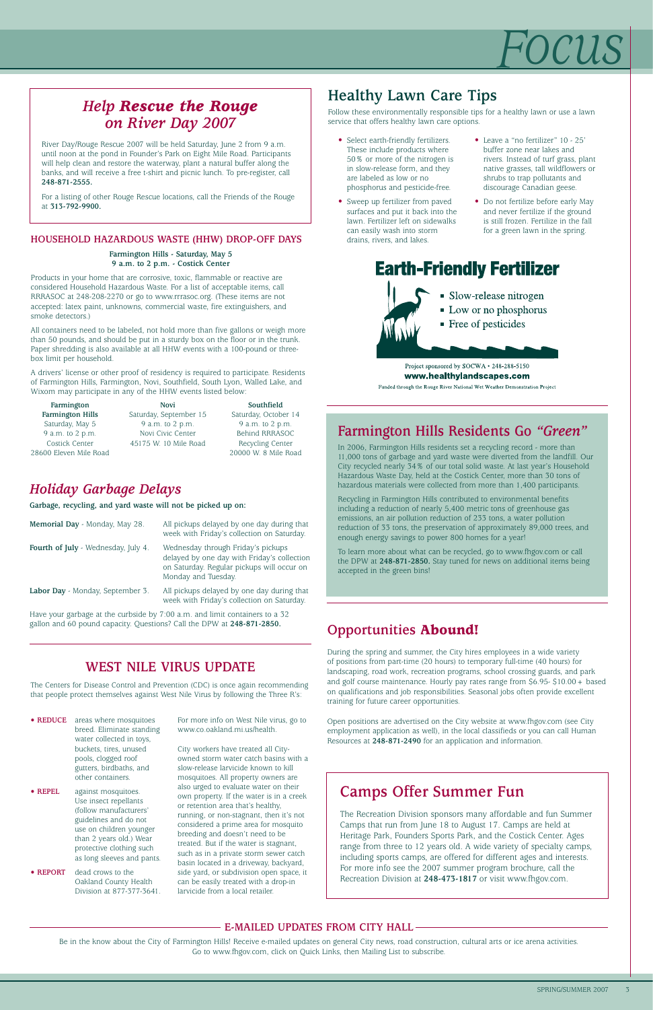# *Focus*

#### **E-MAILED UPDATES FROM CITY HALL**

Be in the know about the City of Farmington Hills! Receive e-mailed updates on general City news, road construction, cultural arts or ice arena activities. Go to www.fhgov.com, click on Quick Links, then Mailing List to subscribe.

## *Holiday Garbage Delays*

**Garbage, recycling, and yard waste will not be picked up on:**

| Memorial Day - Monday, May 28.      | All pickups delayed by one day during that<br>week with Friday's collection on Saturday.                                                               |
|-------------------------------------|--------------------------------------------------------------------------------------------------------------------------------------------------------|
| Fourth of July - Wednesday, July 4. | Wednesday through Friday's pickups<br>delayed by one day with Friday's collection<br>on Saturday. Regular pickups will occur on<br>Monday and Tuesday. |
| Labor Day - Monday, September 3.    | All pickups delayed by one day during that<br>week with Friday's collection on Saturday.                                                               |

Have your garbage at the curbside by 7:00 a.m. and limit containers to a 32 gallon and 60 pound capacity. Questions? Call the DPW at **248-871-2850.**

## **Farmington Hills Residents Go** *"Green"*

In 2006, Farmington Hills residents set a recycling record - more than 11,000 tons of garbage and yard waste were diverted from the landfill. Our City recycled nearly 34% of our total solid waste. At last year's Household Hazardous Waste Day, held at the Costick Center, more than 30 tons of hazardous materials were collected from more than 1,400 participants.

Recycling in Farmington Hills contributed to environmental benefits including a reduction of nearly 5,400 metric tons of greenhouse gas emissions, an air pollution reduction of 233 tons, a water pollution reduction of 33 tons, the preservation of approximately 89,000 trees, and enough energy savings to power 800 homes for a year!

To learn more about what can be recycled, go to www.fhgov.com or call the DPW at **248-871-2850.** Stay tuned for news on additional items being accepted in the green bins!

## *Help Rescue the Rouge on River Day 2007*

River Day/Rouge Rescue 2007 will be held Saturday, June 2 from 9 a.m. until noon at the pond in Founder's Park on Eight Mile Road. Participants will help clean and restore the waterway, plant a natural buffer along the banks, and will receive a free t-shirt and picnic lunch. To pre-register, call **248-871-2555.**

For a listing of other Rouge Rescue locations, call the Friends of the Rouge at **313-792-9900.**

#### **HOUSEHOLD HAZARDOUS WASTE (HHW) DROP-OFF DAYS**

**Farmington Hills - Saturday, May 5 9 a.m. to 2 p.m. - Costick Center** 

Products in your home that are corrosive, toxic, flammable or reactive are considered Household Hazardous Waste. For a list of acceptable items, call RRRASOC at 248-208-2270 or go to www.rrrasoc.org. (These items are not accepted: latex paint, unknowns, commercial waste, fire extinguishers, and smoke detectors.)

All containers need to be labeled, not hold more than five gallons or weigh more than 50 pounds, and should be put in a sturdy box on the floor or in the trunk. Paper shredding is also available at all HHW events with a 100-pound or threebox limit per household.

A drivers' license or other proof of residency is required to participate. Residents of Farmington Hills, Farmington, Novi, Southfield, South Lyon, Walled Lake, and Wixom may participate in any of the HHW events listed below:

| Farmington             | <b>Novi</b>            | Southfield           |
|------------------------|------------------------|----------------------|
| Farmington Hills       | Saturday, September 15 | Saturday, October 14 |
| Saturday, May 5        | 9 a.m. to 2 p.m.       | 9 a.m. to 2 p.m.     |
| 9 a.m. to 2 p.m.       | Novi Civic Center      | Behind RRRASOC       |
| Costick Center         | 45175 W. 10 Mile Road  | Recycling Center     |
| 28600 Eleven Mile Road |                        | 20000 W. 8 Mile Road |

## **Healthy Lawn Care Tips**

Follow these environmentally responsible tips for a healthy lawn or use a lawn service that offers healthy lawn care options.

## **WEST NILE VIRUS UPDATE**

**• REDUCE** areas where mosquitoes breed. Eliminate standing water collected in toys,

> buckets, tires, unused pools, clogged roof gutters, birdbaths, and other containers.

**• REPEL** against mosquitoes. Use insect repellants (follow manufacturers' guidelines and do not use on children younger than 2 years old.) Wear protective clothing such as long sleeves and pants.

**• REPORT** dead crows to the Oakland County Health Division at 877-377-3641. For more info on West Nile virus, go to www.co.oakland.mi.us/health.

City workers have treated all Cityowned storm water catch basins with a slow-release larvicide known to kill mosquitoes. All property owners are also urged to evaluate water on their own property. If the water is in a creek or retention area that's healthy, running, or non-stagnant, then it's not considered a prime area for mosquito breeding and doesn't need to be treated. But if the water is stagnant, such as in a private storm sewer catch basin located in a driveway, backyard, side yard, or subdivision open space, it can be easily treated with a drop-in larvicide from a local retailer.

- Select earth-friendly fertilizers. These include products where 50% or more of the nitrogen is in slow-release form, and they are labeled as low or no phosphorus and pesticide-free.
- Sweep up fertilizer from paved surfaces and put it back into the lawn. Fertilizer left on sidewalks can easily wash into storm drains, rivers, and lakes.
- Leave a "no fertilizer" 10 25' buffer zone near lakes and rivers. Instead of turf grass, plant native grasses, tall wildflowers or shrubs to trap pollutants and discourage Canadian geese.
- Do not fertilize before early May and never fertilize if the ground is still frozen. Fertilize in the fall for a green lawn in the spring.

# **Earth-Friendly Fertilizer**



www.healthylandscapes.com

Funded through the Rouge River National Wet Weather Demonstration Project

## **Opportunities Abound!**

During the spring and summer, the City hires employees in a wide variety of positions from part-time (20 hours) to temporary full-time (40 hours) for landscaping, road work, recreation programs, school crossing guards, and park and golf course maintenance. Hourly pay rates range from \$6.95- \$10.00+ based on qualifications and job responsibilities. Seasonal jobs often provide excellent training for future career opportunities.

Open positions are advertised on the City website at www.fhgov.com (see City employment application as well), in the local classifieds or you can call Human Resources at **248-871-2490** for an application and information.

The Centers for Disease Control and Prevention (CDC) is once again recommending that people protect themselves against West Nile Virus by following the Three R's:

## **Camps Offer Summer Fun**

The Recreation Division sponsors many affordable and fun Summer Camps that run from June 18 to August 17. Camps are held at Heritage Park, Founders Sports Park, and the Costick Center. Ages range from three to 12 years old. A wide variety of specialty camps, including sports camps, are offered for different ages and interests. For more info see the 2007 summer program brochure, call the Recreation Division at **248-473-1817** or visit www.fhgov.com.